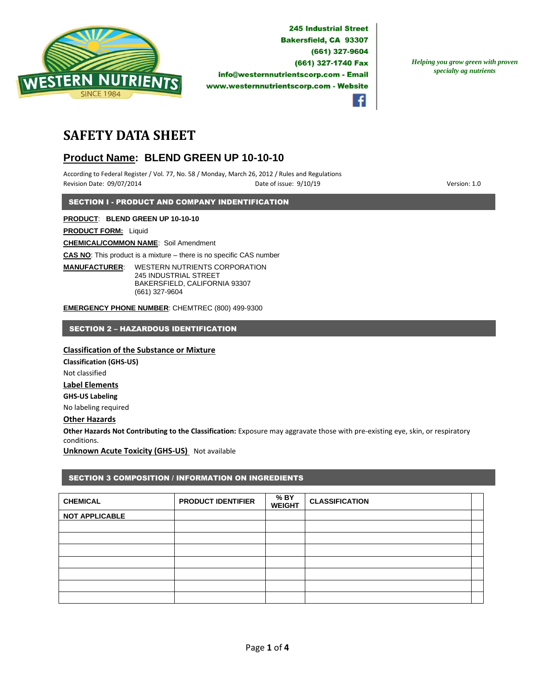

*Helping you grow green with proven specialty ag nutrients*



# **SAFETY DATA SHEET**

# **Product Name: BLEND GREEN UP 10-10-10**

According to Federal Register / Vol. 77, No. 58 / Monday, March 26, 2012 / Rules and Regulations Revision Date: 09/07/2014 Date of issue: 9/10/19 Version: 1.0

SECTION I - PRODUCT AND COMPANY INDENTIFICATION

**PRODUCT**: **BLEND GREEN UP 10-10-10**

**PRODUCT FORM:** Liquid

**CHEMICAL/COMMON NAME**: Soil Amendment

**CAS NO**: This product is a mixture – there is no specific CAS number

**MANUFACTURER**: WESTERN NUTRIENTS CORPORATION 245 INDUSTRIAL STREET BAKERSFIELD, CALIFORNIA 93307 (661) 327-9604

**EMERGENCY PHONE NUMBER**: CHEMTREC (800) 499-9300

SECTION 2 – HAZARDOUS IDENTIFICATION

## **Classification of the Substance or Mixture**

**Classification (GHS-US)** Not classified **Label Elements GHS-US Labeling** No labeling required

## **Other Hazards**

**Other Hazards Not Contributing to the Classification:** Exposure may aggravate those with pre-existing eye, skin, or respiratory conditions.

**Unknown Acute Toxicity (GHS-US)** Not available

## SECTION 3 COMPOSITION / INFORMATION ON INGREDIENTS

| <b>CHEMICAL</b>       | <b>PRODUCT IDENTIFIER</b> | % BY<br><b>WEIGHT</b> | <b>CLASSIFICATION</b> |  |
|-----------------------|---------------------------|-----------------------|-----------------------|--|
| <b>NOT APPLICABLE</b> |                           |                       |                       |  |
|                       |                           |                       |                       |  |
|                       |                           |                       |                       |  |
|                       |                           |                       |                       |  |
|                       |                           |                       |                       |  |
|                       |                           |                       |                       |  |
|                       |                           |                       |                       |  |
|                       |                           |                       |                       |  |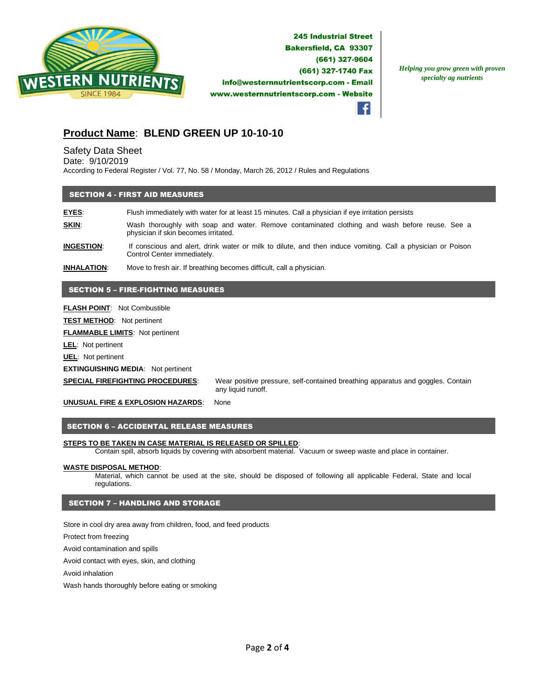

*Helping you grow green with proven specialty ag nutrients*

# **Product Name**: **BLEND GREEN UP 10-10-10**

## Safety Data Sheet

Date: 9/10/2019

According to Federal Register / Vol. 77, No. 58 / Monday, March 26, 2012 / Rules and Regulations

### SECTION 4 - FIRST AID MEASURES

**EYES**: Flush immediately with water for at least 15 minutes. Call a physician if eye irritation persists **SKIN:** Wash thoroughly with soap and water. Remove contaminated clothing and wash before reuse. See a physician if skin becomes irritated.

**INGESTION**: If conscious and alert, drink water or milk to dilute, and then induce vomiting. Call a physician or Poison Control Center immediately.

**INHALATION**: Move to fresh air. If breathing becomes difficult, call a physician.

## SECTION 5 – FIRE-FIGHTING MEASURES

**FLASH POINT**: Not Combustible

**TEST METHOD**: Not pertinent

**FLAMMABLE LIMITS**: Not pertinent

**LEL**: Not pertinent

**UEL**: Not pertinent

**EXTINGUISHING MEDIA**: Not pertinent

**SPECIAL FIREFIGHTING PROCEDURES**: Wear positive pressure, self-contained breathing apparatus and goggles. Contain any liquid runoff.

**UNUSUAL FIRE & EXPLOSION HAZARDS**: None

### SECTION 6 – ACCIDENTAL RELEASE MEASURES

### **STEPS TO BE TAKEN IN CASE MATERIAL IS RELEASED OR SPILLED**:

Contain spill, absorb liquids by covering with absorbent material. Vacuum or sweep waste and place in container.

### **WASTE DISPOSAL METHOD**:

Material, which cannot be used at the site, should be disposed of following all applicable Federal, State and local regulations.

## SECTION 7 – HANDLING AND STORAGE

Store in cool dry area away from children, food, and feed products

Protect from freezing

Avoid contamination and spills

Avoid contact with eyes, skin, and clothing

Avoid inhalation

Wash hands thoroughly before eating or smoking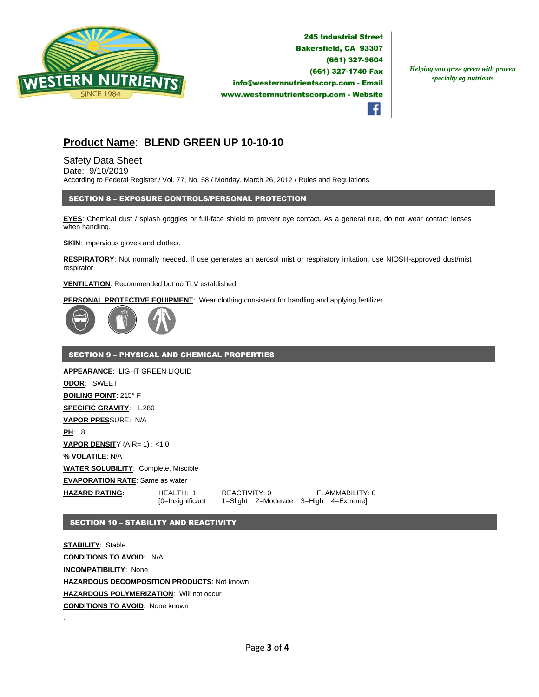

*Helping you grow green with proven specialty ag nutrients*

# **Product Name**: **BLEND GREEN UP 10-10-10**

Safety Data Sheet Date: 9/10/2019 According to Federal Register / Vol. 77, No. 58 / Monday, March 26, 2012 / Rules and Regulations

### SECTION 8 – EXPOSURE CONTROLS/PERSONAL PROTECTION

**EYES**: Chemical dust / splash goggles or full-face shield to prevent eye contact. As a general rule, do not wear contact lenses when handling.

**SKIN:** Impervious gloves and clothes.

**RESPIRATORY**: Not normally needed. If use generates an aerosol mist or respiratory irritation, use NIOSH-approved dust/mist respirator

### **VENTILATION**: Recommended but no TLV established

**PERSONAL PROTECTIVE EQUIPMENT**: Wear clothing consistent for handling and applying fertilizer



### SECTION 9 – PHYSICAL AND CHEMICAL PROPERTIES

**APPEARANCE**: LIGHT GREEN LIQUID **ODOR**: SWEET **BOILING POINT**: 215° F **SPECIFIC GRAVITY**: 1.280 **VAPOR PRES**SURE: N/A **PH**: 8 **VAPOR DENSITY (AIR= 1) : <1.0 % VOLATILE**: N/A **WATER SOLUBILITY**: Complete, Miscible **EVAPORATION RATE**: Same as water **HAZARD RATING:** HEALTH: 1 REACTIVITY: 0 FLAMMABILITY: 0 [0=Insignificant 1=Slight 2=Moderate 3=High 4=Extreme]

## SECTION 10 – STABILITY AND REACTIVITY

**STABILITY**: Stable **CONDITIONS TO AVOID**: N/A **INCOMPATIBILITY**: None **HAZARDOUS DECOMPOSITION PRODUCTS**: Not known **HAZARDOUS POLYMERIZATION**: Will not occur **CONDITIONS TO AVOID**: None known

.